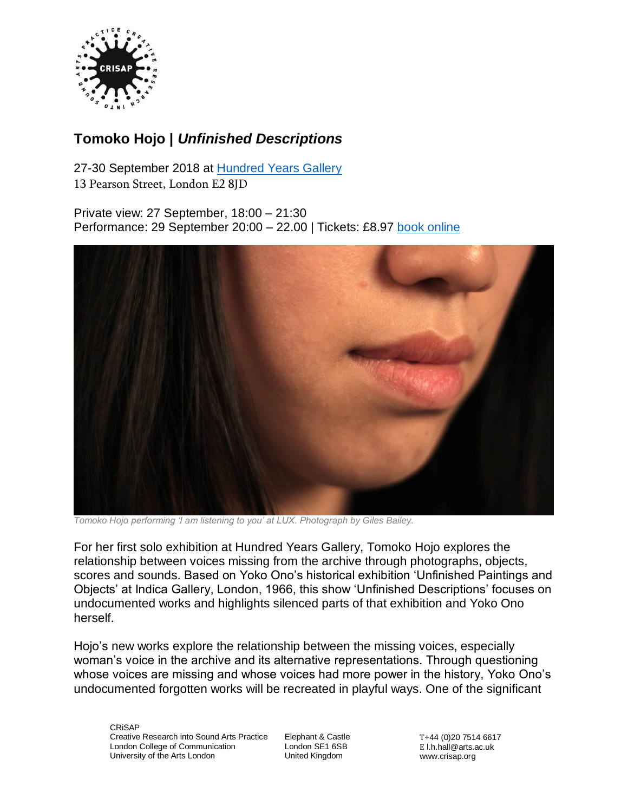

# **Tomoko Hojo |** *Unfinished Descriptions*

27-30 September 2018 at [Hundred Years Gallery](http://hundredyearsgallery.co.uk/)

13 Pearson Street, London E2 8JD

Private view: 27 September, 18:00 – 21:30 Performance: 29 September 20:00 – 22.00 | Tickets: £8.97 [book online](https://www.eventbrite.co.uk/e/tomoko-hojo-solo-exhibition-unfinished-descriptions-performance-night-tickets-49893220967)



*Tomoko Hojo performing 'I am listening to you' at LUX. Photograph by Giles Bailey.*

For her first solo exhibition at Hundred Years Gallery, Tomoko Hojo explores the relationship between voices missing from the archive through photographs, objects, scores and sounds. Based on Yoko Ono's historical exhibition 'Unfinished Paintings and Objects' at Indica Gallery, London, 1966, this show 'Unfinished Descriptions' focuses on undocumented works and highlights silenced parts of that exhibition and Yoko Ono herself.

Hojo's new works explore the relationship between the missing voices, especially woman's voice in the archive and its alternative representations. Through questioning whose voices are missing and whose voices had more power in the history, Yoko Ono's undocumented forgotten works will be recreated in playful ways. One of the significant

CRiSAP Creative Research into Sound Arts Practice London College of Communication University of the Arts London

Elephant & Castle London SE1 6SB United Kingdom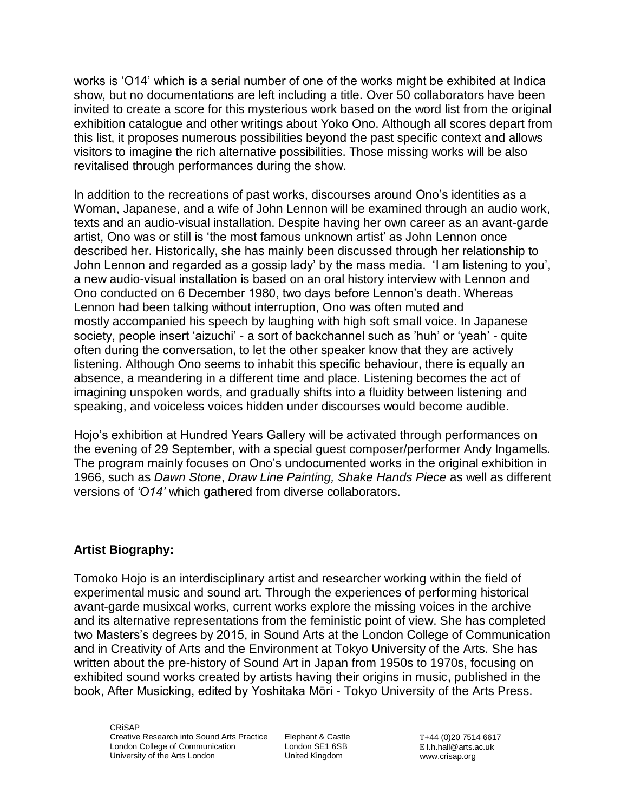works is 'O14' which is a serial number of one of the works might be exhibited at Indica show, but no documentations are left including a title. Over 50 collaborators have been invited to create a score for this mysterious work based on the word list from the original exhibition catalogue and other writings about Yoko Ono. Although all scores depart from this list, it proposes numerous possibilities beyond the past specific context and allows visitors to imagine the rich alternative possibilities. Those missing works will be also revitalised through performances during the show.

In addition to the recreations of past works, discourses around Ono's identities as a Woman, Japanese, and a wife of John Lennon will be examined through an audio work, texts and an audio-visual installation. Despite having her own career as an avant-garde artist, Ono was or still is 'the most famous unknown artist' as John Lennon once described her. Historically, she has mainly been discussed through her relationship to John Lennon and regarded as a gossip lady' by the mass media. 'I am listening to you', a new audio-visual installation is based on an oral history interview with Lennon and Ono conducted on 6 December 1980, two days before Lennon's death. Whereas Lennon had been talking without interruption, Ono was often muted and mostly accompanied his speech by laughing with high soft small voice. In Japanese society, people insert 'aizuchi' - a sort of backchannel such as 'huh' or 'yeah' - quite often during the conversation, to let the other speaker know that they are actively listening. Although Ono seems to inhabit this specific behaviour, there is equally an absence, a meandering in a different time and place. Listening becomes the act of imagining unspoken words, and gradually shifts into a fluidity between listening and speaking, and voiceless voices hidden under discourses would become audible.

Hojo's exhibition at Hundred Years Gallery will be activated through performances on the evening of 29 September, with a special guest composer/performer Andy Ingamells. The program mainly focuses on Ono's undocumented works in the original exhibition in 1966, such as *Dawn Stone*, *Draw Line Painting, Shake Hands Piece* as well as different versions of *'O14'* which gathered from diverse collaborators.

# **Artist Biography:**

Tomoko Hojo is an interdisciplinary artist and researcher working within the field of experimental music and sound art. Through the experiences of performing historical avant-garde musixcal works, current works explore the missing voices in the archive and its alternative representations from the feministic point of view. She has completed two Masters's degrees by 2015, in Sound Arts at the London College of Communication and in Creativity of Arts and the Environment at Tokyo University of the Arts. She has written about the pre-history of Sound Art in Japan from 1950s to 1970s, focusing on exhibited sound works created by artists having their origins in music, published in the book, After Musicking, edited by Yoshitaka Mōri - Tokyo University of the Arts Press.

**CRISAP** Creative Research into Sound Arts Practice London College of Communication University of the Arts London

Elephant & Castle London SE1 6SB United Kingdom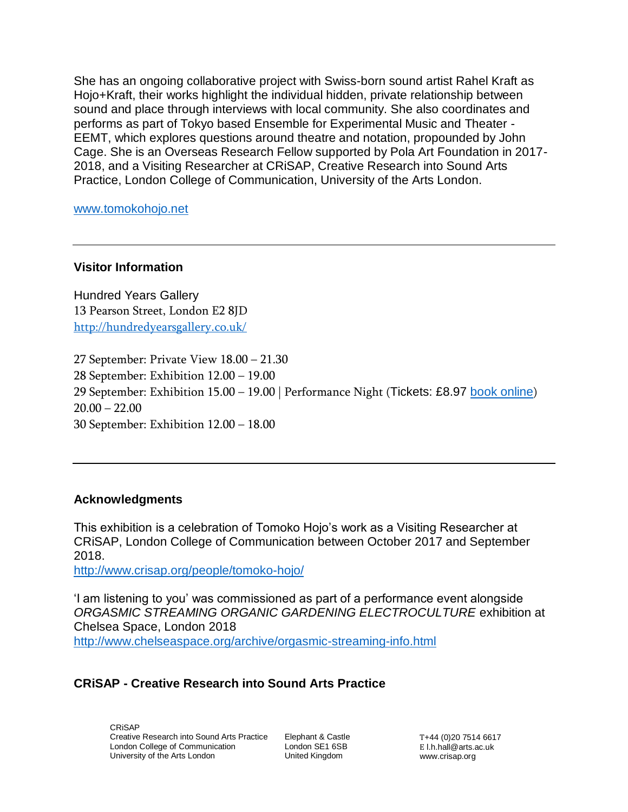She has an ongoing collaborative project with Swiss-born sound artist Rahel Kraft as Hojo+Kraft, their works highlight the individual hidden, private relationship between sound and place through interviews with local community. She also coordinates and performs as part of Tokyo based Ensemble for Experimental Music and Theater - EEMT, which explores questions around theatre and notation, propounded by John Cage. She is an Overseas Research Fellow supported by Pola Art Foundation in 2017- 2018, and a Visiting Researcher at CRiSAP, Creative Research into Sound Arts Practice, London College of Communication, University of the Arts London.

[www.tomokohojo.net](http://www.tomokohojo.net/)

## **Visitor Information**

Hundred Years Gallery 13 Pearson Street, London E2 8JD <http://hundredyearsgallery.co.uk/>

 September: Private View 18.00 – 21.30 September: Exhibition 12.00 – 19.00 September: Exhibition 15.00 – 19.00 | Performance Night (Tickets: £8.97 [book online](https://www.eventbrite.co.uk/e/tomoko-hojo-solo-exhibition-unfinished-descriptions-performance-night-tickets-49893220967))  $20.00 - 22.00$ September: Exhibition 12.00 – 18.00

#### **Acknowledgments**

This exhibition is a celebration of Tomoko Hojo's work as a Visiting Researcher at CRiSAP, London College of Communication between October 2017 and September 2018.

<http://www.crisap.org/people/tomoko-hojo/>

'I am listening to you' was commissioned as part of a performance event alongside *ORGASMIC STREAMING ORGANIC GARDENING ELECTROCULTURE* exhibition at Chelsea Space, London 2018 <http://www.chelseaspace.org/archive/orgasmic-streaming-info.html>

## **CRiSAP - Creative Research into Sound Arts Practice**

CRiSAP Creative Research into Sound Arts Practice London College of Communication University of the Arts London

Elephant & Castle London SE1 6SB United Kingdom